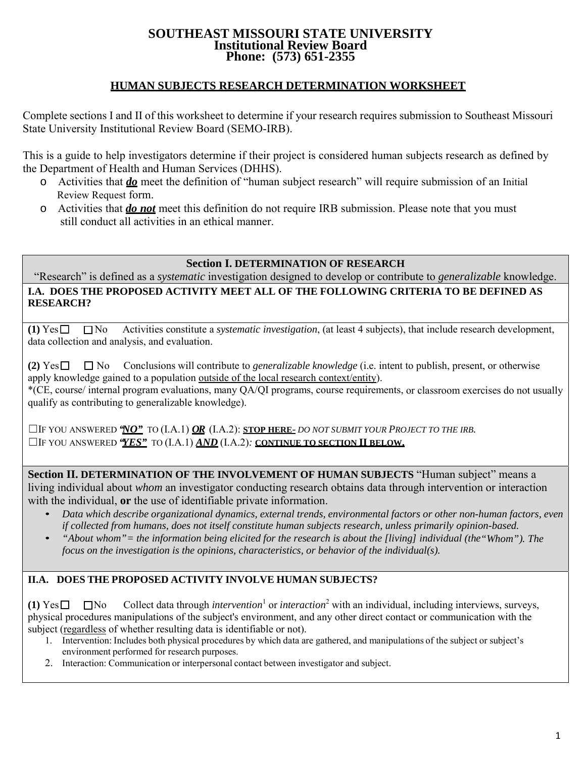#### **SOUTHEAST MISSOURI STATE UNIVERSITY Institutional Review Board Phone: (573) 651-2355**

# **HUMAN SUBJECTS RESEARCH DETERMINATION WORKSHEET**

Complete sections I and II of this worksheet to determine if your research requires submission to Southeast Missouri State University Institutional Review Board (SEMO-IRB).

This is a guide to help investigators determine if their project is considered human subjects research as defined by the Department of Health and Human Services (DHHS).

- o Activities that *do* meet the definition of "human subject research" will require submission of an Initial Review Request form.
- o Activities that *do not* meet this definition do not require IRB submission. Please note that you must still conduct all activities in an ethical manner.

## **Section I. DETERMINATION OF RESEARCH**

"Research" is defined as a *systematic* investigation designed to develop or contribute to *generalizable* knowledge. **I.A. DOES THE PROPOSED ACTIVITY MEET ALL OF THE FOLLOWING CRITERIA TO BE DEFINED AS RESEARCH?**

 $(1)$   $\text{Yes} \Box$   $\Box$  No Activities constitute a *systematic investigation*, (at least 4 subjects), that include research development, data collection and analysis, and evaluation.

(2)  $\text{Yes} \Box \Box \text{No}$  Conclusions will contribute to *generalizable knowledge* (i.e. intent to publish, present, or otherwise apply knowledge gained to a population outside of the local research context/entity). \*(CE, course/ internal program evaluations, many QA/QI programs, course requirements, or classroom exercises do not usually qualify as contributing to generalizable knowledge).

☐IF YOU ANSWERED *"NO"* TO (I.A.1) *OR* (I.A.2): **STOP HERE**- *DO NOT SUBMIT YOUR PROJECT TO THE IRB.* ☐IF YOU ANSWERED *"YES"* TO (I.A.1) *AND* (I.A.2)*:* **CONTINUE TO SECTION II BELOW.**

**Section II. DETERMINATION OF THE INVOLVEMENT OF HUMAN SUBJECTS** "Human subject" means a living individual about *whom* an investigator conducting research obtains data through intervention or interaction with the individual, **or** the use of identifiable private information.

- *Data which describe organizational dynamics, external trends, environmental factors or other non-human factors, even if collected from humans, does not itself constitute human subjects research, unless primarily opinion-based.*
- *"About whom"= the information being elicited for the research is about the [living] individual (the"Whom"). The focus on the investigation is the opinions, characteristics, or behavior of the individual(s).*

## **II.A. DOES THE PROPOSED ACTIVITY INVOLVE HUMAN SUBJECTS?**

**(1)**  $Yes \Box \Box No$  Collect data through *intervention*<sup>1</sup> or *interaction*<sup>2</sup> with an individual, including interviews, surveys, physical procedures manipulations of the subject's environment, and any other direct contact or communication with the subject (regardless of whether resulting data is identifiable or not).

- 1. Intervention: Includes both physical procedures by which data are gathered, and manipulations of the subject or subject's environment performed for research purposes.
- 2. Interaction: Communication or interpersonal contact between investigator and subject.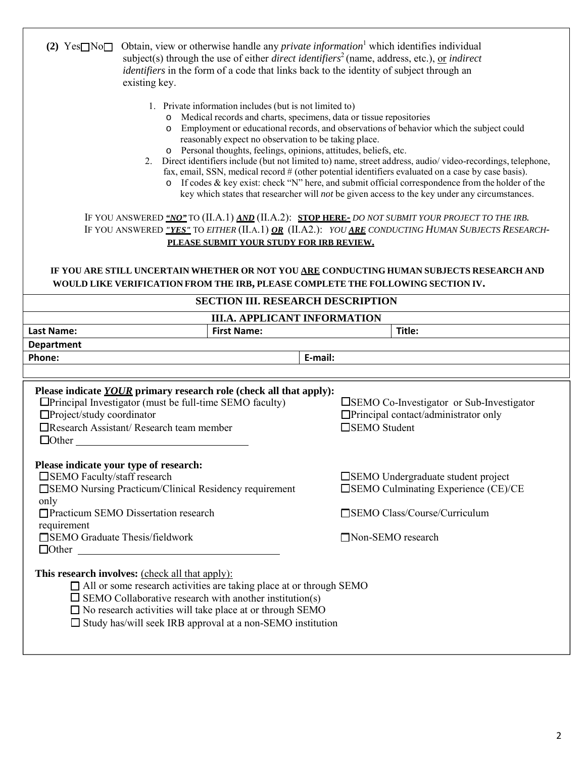| Obtain, view or otherwise handle any <i>private information</i> <sup>1</sup> which identifies individual<br>$(2) \text{Yes} \square \text{No} \square$<br>subject(s) through the use of either <i>direct identifiers</i> <sup>2</sup> (name, address, etc.), <u>or</u> <i>indirect</i><br><i>identifiers</i> in the form of a code that links back to the identity of subject through an<br>existing key.<br>1. Private information includes (but is not limited to)<br>o Medical records and charts, specimens, data or tissue repositories<br>Employment or educational records, and observations of behavior which the subject could<br>$\circ$<br>reasonably expect no observation to be taking place.<br>o Personal thoughts, feelings, opinions, attitudes, beliefs, etc.<br>Direct identifiers include (but not limited to) name, street address, audio/video-recordings, telephone,<br>2.<br>fax, email, SSN, medical record # (other potential identifiers evaluated on a case by case basis).<br>$\circ$ If codes & key exist: check "N" here, and submit official correspondence from the holder of the<br>key which states that researcher will <i>not</i> be given access to the key under any circumstances. |                                                                                                               |
|----------------------------------------------------------------------------------------------------------------------------------------------------------------------------------------------------------------------------------------------------------------------------------------------------------------------------------------------------------------------------------------------------------------------------------------------------------------------------------------------------------------------------------------------------------------------------------------------------------------------------------------------------------------------------------------------------------------------------------------------------------------------------------------------------------------------------------------------------------------------------------------------------------------------------------------------------------------------------------------------------------------------------------------------------------------------------------------------------------------------------------------------------------------------------------------------------------------------------|---------------------------------------------------------------------------------------------------------------|
| IF YOU ANSWERED "NO" TO (II.A.1) AND (II.A.2): STOP HERE- DO NOT SUBMIT YOUR PROJECT TO THE IRB.<br>IF YOU ANSWERED "YES" TO EITHER (II.A.1) OR (II.A2.): YOU ARE CONDUCTING HUMAN SUBJECTS RESEARCH-<br>PLEASE SUBMIT YOUR STUDY FOR IRB REVIEW.                                                                                                                                                                                                                                                                                                                                                                                                                                                                                                                                                                                                                                                                                                                                                                                                                                                                                                                                                                          |                                                                                                               |
| IF YOU ARE STILL UNCERTAIN WHETHER OR NOT YOU ARE CONDUCTING HUMAN SUBJECTS RESEARCH AND<br>WOULD LIKE VERIFICATION FROM THE IRB, PLEASE COMPLETE THE FOLLOWING SECTION IV.                                                                                                                                                                                                                                                                                                                                                                                                                                                                                                                                                                                                                                                                                                                                                                                                                                                                                                                                                                                                                                                |                                                                                                               |
| <b>SECTION III. RESEARCH DESCRIPTION</b>                                                                                                                                                                                                                                                                                                                                                                                                                                                                                                                                                                                                                                                                                                                                                                                                                                                                                                                                                                                                                                                                                                                                                                                   |                                                                                                               |
| <b>III.A. APPLICANT INFORMATION</b>                                                                                                                                                                                                                                                                                                                                                                                                                                                                                                                                                                                                                                                                                                                                                                                                                                                                                                                                                                                                                                                                                                                                                                                        |                                                                                                               |
| <b>First Name:</b><br><b>Last Name:</b>                                                                                                                                                                                                                                                                                                                                                                                                                                                                                                                                                                                                                                                                                                                                                                                                                                                                                                                                                                                                                                                                                                                                                                                    | Title:                                                                                                        |
| <b>Department</b>                                                                                                                                                                                                                                                                                                                                                                                                                                                                                                                                                                                                                                                                                                                                                                                                                                                                                                                                                                                                                                                                                                                                                                                                          |                                                                                                               |
| E-mail:<br>Phone:                                                                                                                                                                                                                                                                                                                                                                                                                                                                                                                                                                                                                                                                                                                                                                                                                                                                                                                                                                                                                                                                                                                                                                                                          |                                                                                                               |
|                                                                                                                                                                                                                                                                                                                                                                                                                                                                                                                                                                                                                                                                                                                                                                                                                                                                                                                                                                                                                                                                                                                                                                                                                            |                                                                                                               |
| Please indicate YOUR primary research role (check all that apply):<br>$\Box$ Principal Investigator (must be full-time SEMO faculty)<br>$\Box$ Project/study coordinator<br>$\Box$ Research Assistant/ Research team member<br>$\Box$ Other                                                                                                                                                                                                                                                                                                                                                                                                                                                                                                                                                                                                                                                                                                                                                                                                                                                                                                                                                                                | □SEMO Co-Investigator or Sub-Investigator<br>$\Box$ Principal contact/administrator only<br>□SEMO Student     |
| Please indicate your type of research:<br>□SEMO Faculty/staff research<br>□ SEMO Nursing Practicum/Clinical Residency requirement<br>only<br>□ Practicum SEMO Dissertation research<br>requirement                                                                                                                                                                                                                                                                                                                                                                                                                                                                                                                                                                                                                                                                                                                                                                                                                                                                                                                                                                                                                         | □ SEMO Undergraduate student project<br>□SEMO Culminating Experience (CE)/CE<br>□SEMO Class/Course/Curriculum |
| □SEMO Graduate Thesis/fieldwork<br>$\Box$ Other                                                                                                                                                                                                                                                                                                                                                                                                                                                                                                                                                                                                                                                                                                                                                                                                                                                                                                                                                                                                                                                                                                                                                                            | □Non-SEMO research                                                                                            |
| This research involves: (check all that apply):<br>$\Box$ All or some research activities are taking place at or through SEMO<br>$\square$ SEMO Collaborative research with another institution(s)<br>$\square$ No research activities will take place at or through SEMO<br>$\Box$ Study has/will seek IRB approval at a non-SEMO institution                                                                                                                                                                                                                                                                                                                                                                                                                                                                                                                                                                                                                                                                                                                                                                                                                                                                             |                                                                                                               |